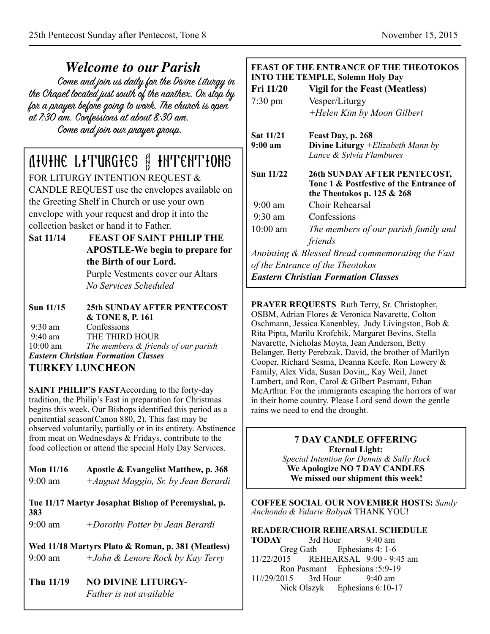*Welcome to our Parish* the Chapel located just south of the nanthex. On stop by for a prayer before going to work. The church is open at 7:30 am. Confessions at about 8:30 am. Come and join our prayer group.

# Divine Liturgies & Intentions

FOR LITURGY INTENTION REQUEST & CANDLE REQUEST use the envelopes available on the Greeting Shelf in Church or use your own envelope with your request and drop it into the collection basket or hand it to Father.

**Sat 11/14 FEAST OF SAINT PHILIP THE APOSTLE-We begin to prepare for the Birth of our Lord.** Purple Vestments cover our Altars

*No Services Scheduled* 

**Sun 11/15 25th SUNDAY AFTER PENTECOST & TONE 8, P. 161**<br>9:30 am Confessions Confessions 9:40 am THE THIRD HOUR<br>10:00 am The members & frien The members & friends of our parish *Eastern Christian Formation Classes* 

# **TURKEY LUNCHEON**

**SAINT PHILIP'S FAST** According to the forty-day tradition, the Philip's Fast in preparation for Christmas begins this week. Our Bishops identified this period as a penitential season(Canon 880, 2). This fast may be observed voluntarily, partially or in its entirety. Abstinence from meat on Wednesdays & Fridays, contribute to the food collection or attend the special Holy Day Services.

**Mon 11/16 Apostle & Evangelist Matthew, p. 368**  9:00 am *+August Maggio, Sr. by Jean Berardi*

**Tue 11/17 Martyr Josaphat Bishop of Peremyshal, p. 383** 

9:00 am *+Dorothy Potter by Jean Berardi*

**Wed 11/18 Martyrs Plato & Roman, p. 381 (Meatless)**  9:00 am *+John & Lenore Rock by Kay Terry*

Thu 11/19 NO DIVINE LITURGY-*Father is not available*

#### **FEAST OF THE ENTRANCE OF THE THEOTOKOS INTO THE TEMPLE, Solemn Holy Day**

|                                            | нь тым вы, solvan пог,                                                                                         |  |
|--------------------------------------------|----------------------------------------------------------------------------------------------------------------|--|
| Fri 11/20                                  | <b>Vigil for the Feast (Meatless)</b>                                                                          |  |
| $7:30$ pm                                  | Vesper/Liturgy                                                                                                 |  |
|                                            | +Helen Kim by Moon Gilbert                                                                                     |  |
| Sat 11/21                                  | Feast Day, p. 268                                                                                              |  |
| 9:00 a <sub>m</sub>                        | Divine Liturgy + Elizabeth Mann by                                                                             |  |
|                                            | Lance & Sylvia Flambures                                                                                       |  |
| <b>Sun 11/22</b>                           | <b>26th SUNDAY AFTER PENTECOST,</b><br>Tone 1 & Postfestive of the Entrance of<br>the Theotokos p. 125 $&$ 268 |  |
| $9:00 \text{ am}$                          | Choir Rehearsal                                                                                                |  |
| $9:30 \text{ am}$                          | Confessions                                                                                                    |  |
| $10:00$ am                                 | The members of our parish family and                                                                           |  |
|                                            | friends                                                                                                        |  |
|                                            | Anointing & Blessed Bread commemorating the Fast                                                               |  |
| of the Entrance of the Theotokos           |                                                                                                                |  |
| <b>Eastern Christian Formation Classes</b> |                                                                                                                |  |

**PRAYER REQUESTS** Ruth Terry, Sr. Christopher, OSBM, Adrian Flores & Veronica Navarette, Colton Oschmann, Jessica Kanenbley, Judy Livingston, Bob & Rita Pipta, Marilu Krofchik, Margaret Bevins, Stella Navarette, Nicholas Moyta, Jean Anderson, Betty Belanger, Betty Perebzak, David, the brother of Marilyn Cooper, Richard Sesma, Deanna Keefe, Ron Lowery & Family, Alex Vida, Susan Dovin,, Kay Weil, Janet Lambert, and Ron, Carol & Gilbert Pasmant, Ethan McArthur. For the immigrants escaping the horrors of war in their home country. Please Lord send down the gentle rains we need to end the drought.

#### **7 DAY CANDLE OFFERING Eternal Light:**

*Special Intention for Dennis & Sally Rock*  **We Apologize NO 7 DAY CANDLES We missed our shipment this week!** 

**COFFEE SOCIAL OUR NOVEMBER HOSTS:** *Sandy Anchondo & Valarie Babyak* THANK YOU!

**READER/CHOIR REHEARSAL SCHEDULE TODAY** 3rd Hour 9:40 am Greg Gath Ephesians 4: 1-6 11/22/2015 REHEARSAL 9:00 - 9:45 am Ron Pasmant Ephesians :5:9-19 11//29/2015 3rd Hour 9:40 am Nick Olszyk Ephesians 6:10-17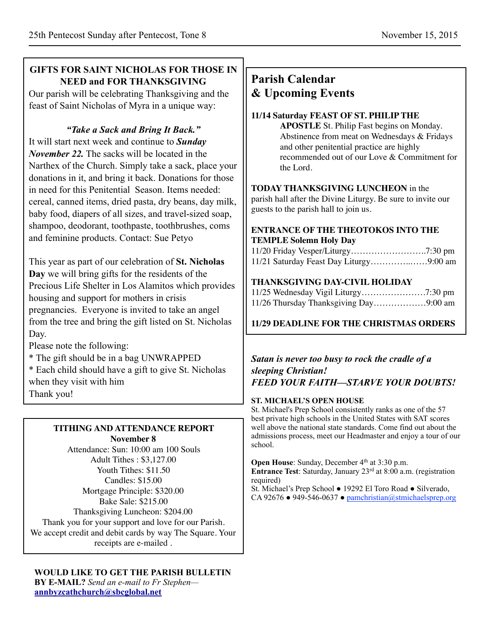# **GIFTS FOR SAINT NICHOLAS FOR THOSE IN NEED and FOR THANKSGIVING**

Our parish will be celebrating Thanksgiving and the feast of Saint Nicholas of Myra in a unique way:

# *"Take a Sack and Bring It Back."*

It will start next week and continue to *Sunday November 22.* The sacks will be located in the Narthex of the Church. Simply take a sack, place your donations in it, and bring it back. Donations for those in need for this Penitential Season. Items needed: cereal, canned items, dried pasta, dry beans, day milk, baby food, diapers of all sizes, and travel-sized soap, shampoo, deodorant, toothpaste, toothbrushes, coms and feminine products. Contact: Sue Petyo

This year as part of our celebration of **St. Nicholas Day** we will bring gifts for the residents of the Precious Life Shelter in Los Alamitos which provides housing and support for mothers in crisis pregnancies. Everyone is invited to take an angel from the tree and bring the gift listed on St. Nicholas Day.

Please note the following:

- \* The gift should be in a bag UNWRAPPED
- \* Each child should have a gift to give St. Nicholas when they visit with him Thank you!

#### **TITHING AND ATTENDANCE REPORT November 8**

Attendance: Sun: 10:00 am 100 Souls Adult Tithes : \$3,127.00 Youth Tithes: \$11.50 Candles: \$15.00 Mortgage Principle: \$320.00 Bake Sale: \$215.00 Thanksgiving Luncheon: \$204.00 Thank you for your support and love for our Parish. We accept credit and debit cards by way The Square. Your receipts are e-mailed .

**WOULD LIKE TO GET THE PARISH BULLETIN BY E-MAIL?** *Send an e-mail to Fr Stephen* **[annbyzcathchurch@sbcglobal.net](mailto:annbyzcathchurch@sbcglobal.net)**

# **Parish Calendar & Upcoming Events**

#### **11/14 Saturday FEAST OF ST. PHILIP THE**

**APOSTLE** St. Philip Fast begins on Monday. Abstinence from meat on Wednesdays & Fridays and other penitential practice are highly recommended out of our Love & Commitment for the Lord.

#### **TODAY THANKSGIVING LUNCHEON** in the

parish hall after the Divine Liturgy. Be sure to invite our guests to the parish hall to join us.

#### **ENTRANCE OF THE THEOTOKOS INTO THE TEMPLE Solemn Holy Day**

#### **THANKSGIVING DAY-CIVIL HOLIDAY**

| 11/26 Thursday Thanksgiving Day9:00 am |  |
|----------------------------------------|--|

### **11/29 DEADLINE FOR THE CHRISTMAS ORDERS**

#### *Satan is never too busy to rock the cradle of a sleeping Christian! FEED YOUR FAITH—STARVE YOUR DOUBTS!*

#### **ST. MICHAEL'S OPEN HOUSE**

St. Michael's Prep School consistently ranks as one of the 57 best private high schools in the United States with SAT scores well above the national state standards. Come find out about the admissions process, meet our Headmaster and enjoy a tour of our school.

**Open House:** Sunday, December 4<sup>th</sup> at 3:30 p.m. **Entrance Test**: Saturday, January 23<sup>rd</sup> at 8:00 a.m. (registration required)

St. Michael's Prep School ● 19292 El Toro Road ● Silverado, CA 92676 • 949-546-0637 • [pamchristian@stmichaelsprep.org](mailto:pamchristian@stmichaelsprep.org)